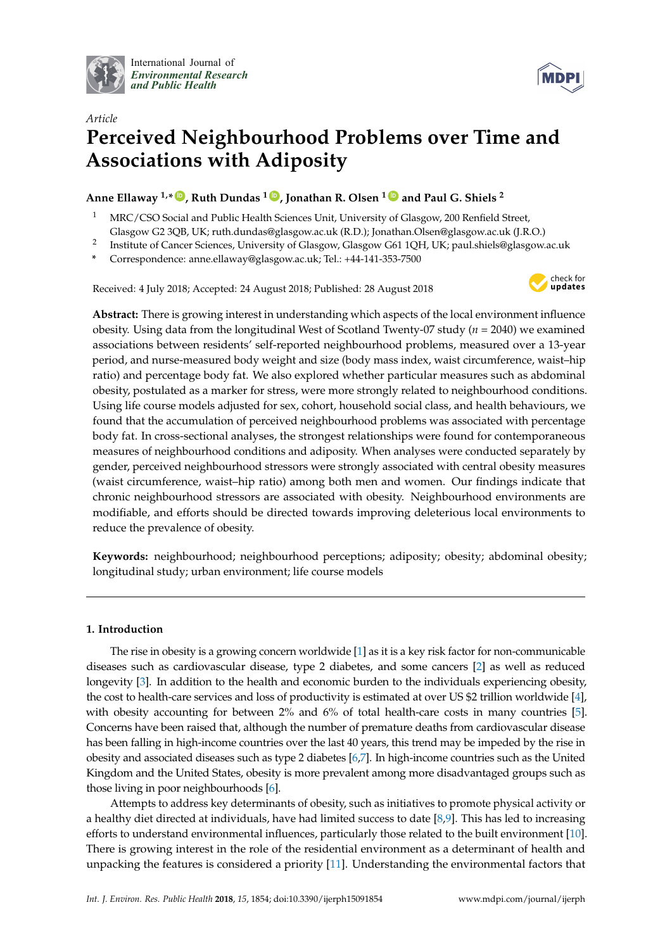

International Journal of *[Environmental Research](http://www.mdpi.com/journal/ijerph) and Public Health*



# *Article* **Perceived Neighbourhood Problems over Time and Associations with Adiposity**

**Anne Ellaway 1,\* [ID](https://orcid.org/0000-0002-2117-4451) , Ruth Dundas <sup>1</sup> [ID](https://orcid.org/0000-0002-3836-4286) , Jonathan R. Olsen <sup>1</sup> [ID](https://orcid.org/0000-0002-5356-8615) and Paul G. Shiels <sup>2</sup>**

- <sup>1</sup> MRC/CSO Social and Public Health Sciences Unit, University of Glasgow, 200 Renfield Street, Glasgow G2 3QB, UK; ruth.dundas@glasgow.ac.uk (R.D.); Jonathan.Olsen@glasgow.ac.uk (J.R.O.)
- 2 Institute of Cancer Sciences, University of Glasgow, Glasgow G61 1QH, UK; paul.shiels@glasgow.ac.uk
- **\*** Correspondence: anne.ellaway@glasgow.ac.uk; Tel.: +44-141-353-7500

Received: 4 July 2018; Accepted: 24 August 2018; Published: 28 August 2018



**Abstract:** There is growing interest in understanding which aspects of the local environment influence obesity. Using data from the longitudinal West of Scotland Twenty-07 study (*n* = 2040) we examined associations between residents' self-reported neighbourhood problems, measured over a 13-year period, and nurse-measured body weight and size (body mass index, waist circumference, waist–hip ratio) and percentage body fat. We also explored whether particular measures such as abdominal obesity, postulated as a marker for stress, were more strongly related to neighbourhood conditions. Using life course models adjusted for sex, cohort, household social class, and health behaviours, we found that the accumulation of perceived neighbourhood problems was associated with percentage body fat. In cross-sectional analyses, the strongest relationships were found for contemporaneous measures of neighbourhood conditions and adiposity. When analyses were conducted separately by gender, perceived neighbourhood stressors were strongly associated with central obesity measures (waist circumference, waist–hip ratio) among both men and women. Our findings indicate that chronic neighbourhood stressors are associated with obesity. Neighbourhood environments are modifiable, and efforts should be directed towards improving deleterious local environments to reduce the prevalence of obesity.

**Keywords:** neighbourhood; neighbourhood perceptions; adiposity; obesity; abdominal obesity; longitudinal study; urban environment; life course models

## **1. Introduction**

The rise in obesity is a growing concern worldwide [\[1\]](#page-8-0) as it is a key risk factor for non-communicable diseases such as cardiovascular disease, type 2 diabetes, and some cancers [\[2\]](#page-8-1) as well as reduced longevity [\[3\]](#page-8-2). In addition to the health and economic burden to the individuals experiencing obesity, the cost to health-care services and loss of productivity is estimated at over US \$2 trillion worldwide [\[4\]](#page-8-3), with obesity accounting for between 2% and 6% of total health-care costs in many countries [\[5\]](#page-8-4). Concerns have been raised that, although the number of premature deaths from cardiovascular disease has been falling in high-income countries over the last 40 years, this trend may be impeded by the rise in obesity and associated diseases such as type 2 diabetes [\[6](#page-8-5)[,7\]](#page-8-6). In high-income countries such as the United Kingdom and the United States, obesity is more prevalent among more disadvantaged groups such as those living in poor neighbourhoods [\[6\]](#page-8-5).

Attempts to address key determinants of obesity, such as initiatives to promote physical activity or a healthy diet directed at individuals, have had limited success to date [\[8](#page-8-7)[,9\]](#page-8-8). This has led to increasing efforts to understand environmental influences, particularly those related to the built environment [\[10\]](#page-8-9). There is growing interest in the role of the residential environment as a determinant of health and unpacking the features is considered a priority [\[11\]](#page-8-10). Understanding the environmental factors that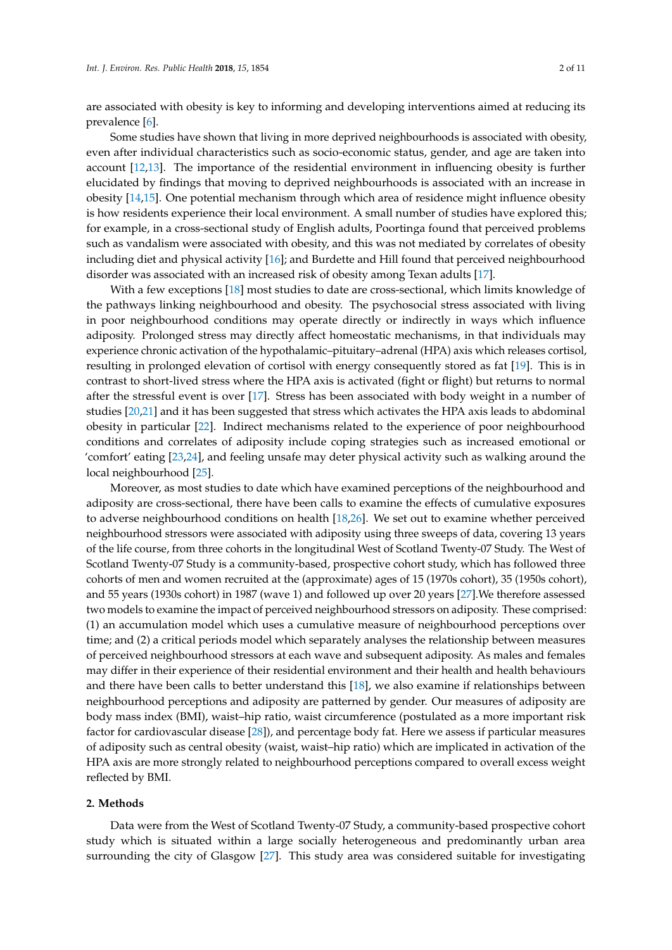are associated with obesity is key to informing and developing interventions aimed at reducing its prevalence [\[6\]](#page-8-5).

Some studies have shown that living in more deprived neighbourhoods is associated with obesity, even after individual characteristics such as socio-economic status, gender, and age are taken into account [\[12,](#page-8-11)[13\]](#page-8-12). The importance of the residential environment in influencing obesity is further elucidated by findings that moving to deprived neighbourhoods is associated with an increase in obesity [\[14](#page-9-0)[,15\]](#page-9-1). One potential mechanism through which area of residence might influence obesity is how residents experience their local environment. A small number of studies have explored this; for example, in a cross-sectional study of English adults, Poortinga found that perceived problems such as vandalism were associated with obesity, and this was not mediated by correlates of obesity including diet and physical activity [\[16\]](#page-9-2); and Burdette and Hill found that perceived neighbourhood disorder was associated with an increased risk of obesity among Texan adults [\[17\]](#page-9-3).

With a few exceptions [\[18\]](#page-9-4) most studies to date are cross-sectional, which limits knowledge of the pathways linking neighbourhood and obesity. The psychosocial stress associated with living in poor neighbourhood conditions may operate directly or indirectly in ways which influence adiposity. Prolonged stress may directly affect homeostatic mechanisms, in that individuals may experience chronic activation of the hypothalamic–pituitary–adrenal (HPA) axis which releases cortisol, resulting in prolonged elevation of cortisol with energy consequently stored as fat [\[19\]](#page-9-5). This is in contrast to short-lived stress where the HPA axis is activated (fight or flight) but returns to normal after the stressful event is over [\[17\]](#page-9-3). Stress has been associated with body weight in a number of studies [\[20](#page-9-6)[,21\]](#page-9-7) and it has been suggested that stress which activates the HPA axis leads to abdominal obesity in particular [\[22\]](#page-9-8). Indirect mechanisms related to the experience of poor neighbourhood conditions and correlates of adiposity include coping strategies such as increased emotional or 'comfort' eating [\[23,](#page-9-9)[24\]](#page-9-10), and feeling unsafe may deter physical activity such as walking around the local neighbourhood [\[25\]](#page-9-11).

Moreover, as most studies to date which have examined perceptions of the neighbourhood and adiposity are cross-sectional, there have been calls to examine the effects of cumulative exposures to adverse neighbourhood conditions on health [\[18,](#page-9-4)[26\]](#page-9-12). We set out to examine whether perceived neighbourhood stressors were associated with adiposity using three sweeps of data, covering 13 years of the life course, from three cohorts in the longitudinal West of Scotland Twenty-07 Study. The West of Scotland Twenty-07 Study is a community-based, prospective cohort study, which has followed three cohorts of men and women recruited at the (approximate) ages of 15 (1970s cohort), 35 (1950s cohort), and 55 years (1930s cohort) in 1987 (wave 1) and followed up over 20 years [\[27\]](#page-9-13).We therefore assessed two models to examine the impact of perceived neighbourhood stressors on adiposity. These comprised: (1) an accumulation model which uses a cumulative measure of neighbourhood perceptions over time; and (2) a critical periods model which separately analyses the relationship between measures of perceived neighbourhood stressors at each wave and subsequent adiposity. As males and females may differ in their experience of their residential environment and their health and health behaviours and there have been calls to better understand this  $[18]$ , we also examine if relationships between neighbourhood perceptions and adiposity are patterned by gender. Our measures of adiposity are body mass index (BMI), waist–hip ratio, waist circumference (postulated as a more important risk factor for cardiovascular disease [\[28\]](#page-9-14)), and percentage body fat. Here we assess if particular measures of adiposity such as central obesity (waist, waist–hip ratio) which are implicated in activation of the HPA axis are more strongly related to neighbourhood perceptions compared to overall excess weight reflected by BMI.

#### **2. Methods**

Data were from the West of Scotland Twenty-07 Study, a community-based prospective cohort study which is situated within a large socially heterogeneous and predominantly urban area surrounding the city of Glasgow [\[27\]](#page-9-13). This study area was considered suitable for investigating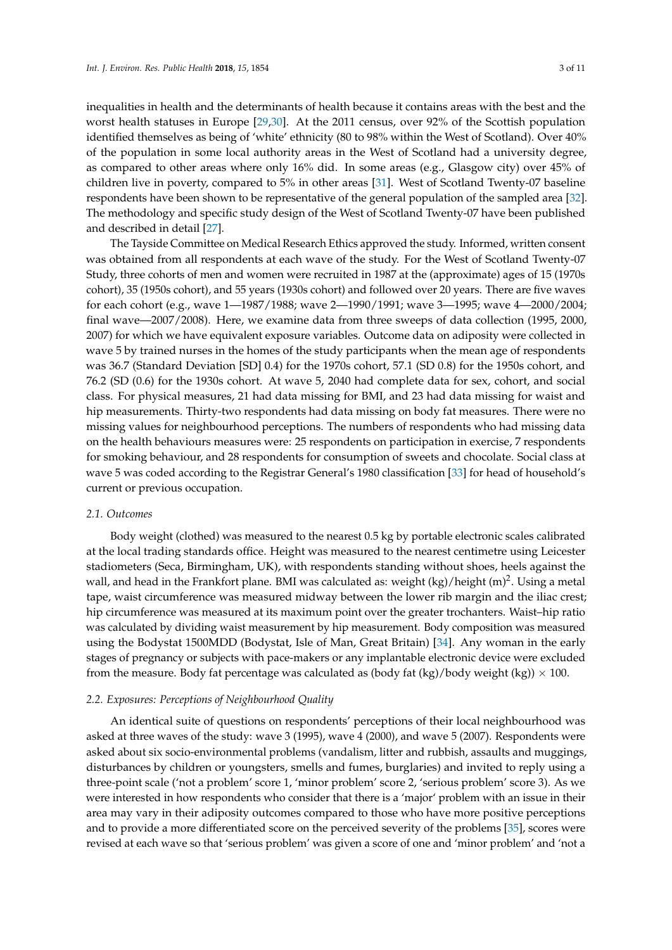inequalities in health and the determinants of health because it contains areas with the best and the worst health statuses in Europe [\[29](#page-9-15)[,30\]](#page-9-16). At the 2011 census, over 92% of the Scottish population identified themselves as being of 'white' ethnicity (80 to 98% within the West of Scotland). Over 40% of the population in some local authority areas in the West of Scotland had a university degree, as compared to other areas where only 16% did. In some areas (e.g., Glasgow city) over 45% of children live in poverty, compared to 5% in other areas [\[31\]](#page-9-17). West of Scotland Twenty-07 baseline respondents have been shown to be representative of the general population of the sampled area [\[32\]](#page-9-18). The methodology and specific study design of the West of Scotland Twenty-07 have been published and described in detail [\[27\]](#page-9-13).

The Tayside Committee on Medical Research Ethics approved the study. Informed, written consent was obtained from all respondents at each wave of the study. For the West of Scotland Twenty-07 Study, three cohorts of men and women were recruited in 1987 at the (approximate) ages of 15 (1970s cohort), 35 (1950s cohort), and 55 years (1930s cohort) and followed over 20 years. There are five waves for each cohort (e.g., wave 1—1987/1988; wave 2—1990/1991; wave 3—1995; wave 4—2000/2004; final wave—2007/2008). Here, we examine data from three sweeps of data collection (1995, 2000, 2007) for which we have equivalent exposure variables. Outcome data on adiposity were collected in wave 5 by trained nurses in the homes of the study participants when the mean age of respondents was 36.7 (Standard Deviation [SD] 0.4) for the 1970s cohort, 57.1 (SD 0.8) for the 1950s cohort, and 76.2 (SD (0.6) for the 1930s cohort. At wave 5, 2040 had complete data for sex, cohort, and social class. For physical measures, 21 had data missing for BMI, and 23 had data missing for waist and hip measurements. Thirty-two respondents had data missing on body fat measures. There were no missing values for neighbourhood perceptions. The numbers of respondents who had missing data on the health behaviours measures were: 25 respondents on participation in exercise, 7 respondents for smoking behaviour, and 28 respondents for consumption of sweets and chocolate. Social class at wave 5 was coded according to the Registrar General's 1980 classification [\[33\]](#page-9-19) for head of household's current or previous occupation.

#### *2.1. Outcomes*

Body weight (clothed) was measured to the nearest 0.5 kg by portable electronic scales calibrated at the local trading standards office. Height was measured to the nearest centimetre using Leicester stadiometers (Seca, Birmingham, UK), with respondents standing without shoes, heels against the wall, and head in the Frankfort plane. BMI was calculated as: weight (kg)/height (m)<sup>2</sup>. Using a metal tape, waist circumference was measured midway between the lower rib margin and the iliac crest; hip circumference was measured at its maximum point over the greater trochanters. Waist–hip ratio was calculated by dividing waist measurement by hip measurement. Body composition was measured using the Bodystat 1500MDD (Bodystat, Isle of Man, Great Britain) [\[34\]](#page-9-20). Any woman in the early stages of pregnancy or subjects with pace-makers or any implantable electronic device were excluded from the measure. Body fat percentage was calculated as (body fat  $(kg)/b$ ody weight  $(kg) \times 100$ .

## *2.2. Exposures: Perceptions of Neighbourhood Quality*

An identical suite of questions on respondents' perceptions of their local neighbourhood was asked at three waves of the study: wave 3 (1995), wave 4 (2000), and wave 5 (2007). Respondents were asked about six socio-environmental problems (vandalism, litter and rubbish, assaults and muggings, disturbances by children or youngsters, smells and fumes, burglaries) and invited to reply using a three-point scale ('not a problem' score 1, 'minor problem' score 2, 'serious problem' score 3). As we were interested in how respondents who consider that there is a 'major' problem with an issue in their area may vary in their adiposity outcomes compared to those who have more positive perceptions and to provide a more differentiated score on the perceived severity of the problems [\[35\]](#page-9-21), scores were revised at each wave so that 'serious problem' was given a score of one and 'minor problem' and 'not a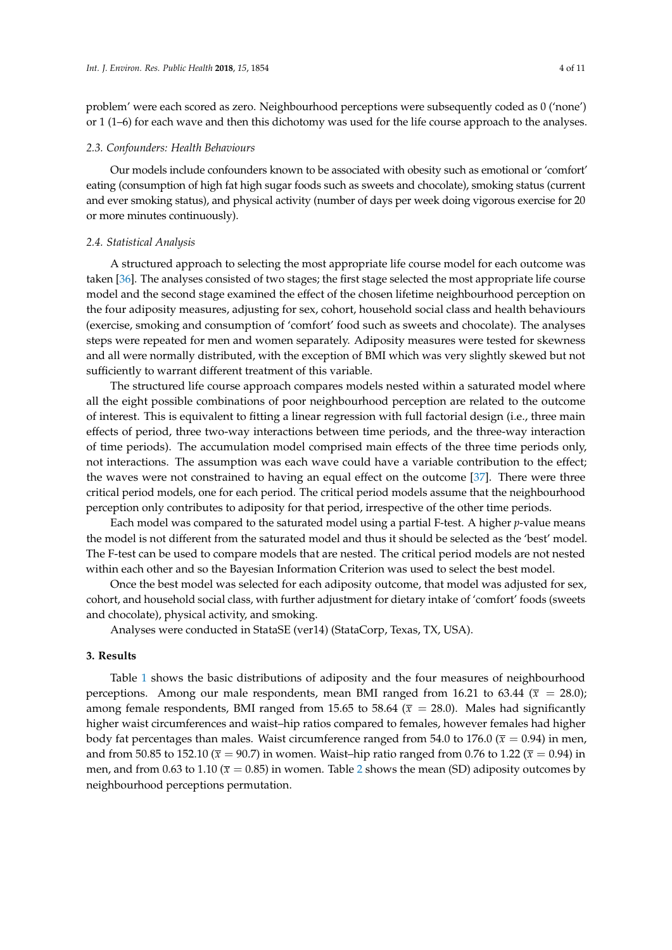problem' were each scored as zero. Neighbourhood perceptions were subsequently coded as 0 ('none') or 1 (1–6) for each wave and then this dichotomy was used for the life course approach to the analyses.

#### *2.3. Confounders: Health Behaviours*

Our models include confounders known to be associated with obesity such as emotional or 'comfort' eating (consumption of high fat high sugar foods such as sweets and chocolate), smoking status (current and ever smoking status), and physical activity (number of days per week doing vigorous exercise for 20 or more minutes continuously).

## *2.4. Statistical Analysis*

A structured approach to selecting the most appropriate life course model for each outcome was taken [\[36\]](#page-10-0). The analyses consisted of two stages; the first stage selected the most appropriate life course model and the second stage examined the effect of the chosen lifetime neighbourhood perception on the four adiposity measures, adjusting for sex, cohort, household social class and health behaviours (exercise, smoking and consumption of 'comfort' food such as sweets and chocolate). The analyses steps were repeated for men and women separately. Adiposity measures were tested for skewness and all were normally distributed, with the exception of BMI which was very slightly skewed but not sufficiently to warrant different treatment of this variable.

The structured life course approach compares models nested within a saturated model where all the eight possible combinations of poor neighbourhood perception are related to the outcome of interest. This is equivalent to fitting a linear regression with full factorial design (i.e., three main effects of period, three two-way interactions between time periods, and the three-way interaction of time periods). The accumulation model comprised main effects of the three time periods only, not interactions. The assumption was each wave could have a variable contribution to the effect; the waves were not constrained to having an equal effect on the outcome [\[37\]](#page-10-1). There were three critical period models, one for each period. The critical period models assume that the neighbourhood perception only contributes to adiposity for that period, irrespective of the other time periods.

Each model was compared to the saturated model using a partial F-test. A higher *p*-value means the model is not different from the saturated model and thus it should be selected as the 'best' model. The F-test can be used to compare models that are nested. The critical period models are not nested within each other and so the Bayesian Information Criterion was used to select the best model.

Once the best model was selected for each adiposity outcome, that model was adjusted for sex, cohort, and household social class, with further adjustment for dietary intake of 'comfort' foods (sweets and chocolate), physical activity, and smoking.

Analyses were conducted in StataSE (ver14) (StataCorp, Texas, TX, USA).

#### **3. Results**

Table [1](#page-4-0) shows the basic distributions of adiposity and the four measures of neighbourhood perceptions. Among our male respondents, mean BMI ranged from 16.21 to 63.44 ( $\bar{x}$  = 28.0); among female respondents, BMI ranged from 15.65 to 58.64 ( $\bar{x}$  = 28.0). Males had significantly higher waist circumferences and waist–hip ratios compared to females, however females had higher body fat percentages than males. Waist circumference ranged from 54.0 to 176.0 ( $\bar{x}$  = 0.94) in men, and from 50.85 to 152.10 ( $\bar{x}$  = 90.7) in women. Waist–hip ratio ranged from 0.76 to 1.22 ( $\bar{x}$  = 0.94) in men, and from 0.63 to 1.10 ( $\bar{x}$  = 0.85) in women. Table [2](#page-4-1) shows the mean (SD) adiposity outcomes by neighbourhood perceptions permutation.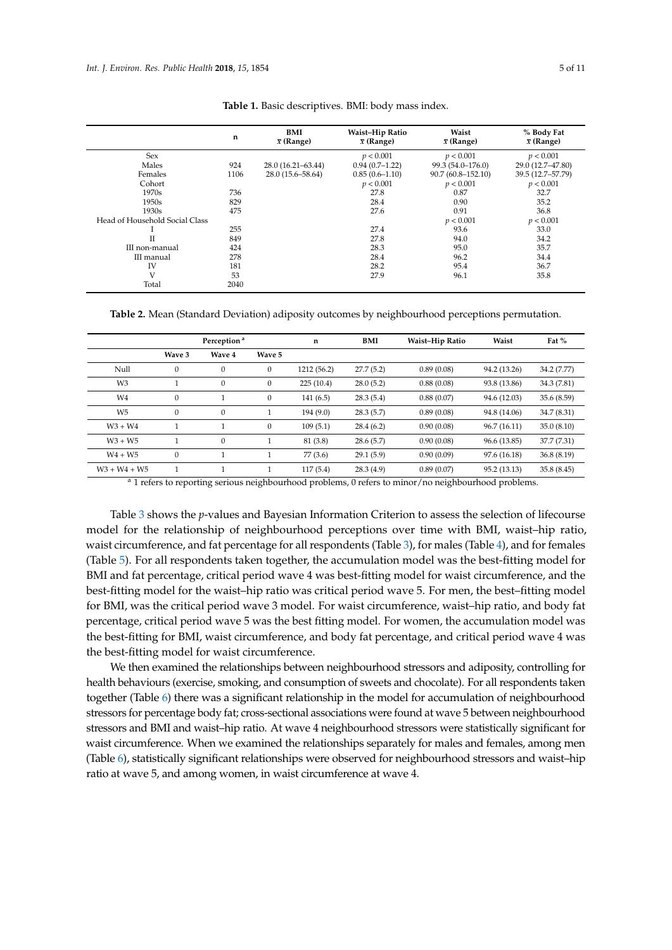<span id="page-4-0"></span>

|                                | n    | BMI<br>$\bar{x}$ (Range) | Waist-Hip Ratio<br>$\bar{x}$ (Range) | Waist<br>$\bar{x}$ (Range) | % Body Fat<br>$\bar{x}$ (Range) |
|--------------------------------|------|--------------------------|--------------------------------------|----------------------------|---------------------------------|
| Sex                            |      |                          | p < 0.001                            | p < 0.001                  | p < 0.001                       |
| Males                          | 924  | 28.0 (16.21-63.44)       | $0.94(0.7-1.22)$                     | 99.3 (54.0-176.0)          | 29.0 (12.7-47.80)               |
| Females                        | 1106 | 28.0 (15.6–58.64)        | $0.85(0.6 - 1.10)$                   | $90.7(60.8 - 152.10)$      | 39.5 (12.7-57.79)               |
| Cohort                         |      |                          | p < 0.001                            | p < 0.001                  | p < 0.001                       |
| 1970s                          | 736  |                          | 27.8                                 | 0.87                       | 32.7                            |
| 1950s                          | 829  |                          | 28.4                                 | 0.90                       | 35.2                            |
| 1930s                          | 475  |                          | 27.6                                 | 0.91                       | 36.8                            |
| Head of Household Social Class |      |                          |                                      | p < 0.001                  | p < 0.001                       |
|                                | 255  |                          | 27.4                                 | 93.6                       | 33.0                            |
| Π                              | 849  |                          | 27.8                                 | 94.0                       | 34.2                            |
| III non-manual                 | 424  |                          | 28.3                                 | 95.0                       | 35.7                            |
| III manual                     | 278  |                          | 28.4                                 | 96.2                       | 34.4                            |
| <b>IV</b>                      | 181  |                          | 28.2                                 | 95.4                       | 36.7                            |
| V                              | 53   |                          | 27.9                                 | 96.1                       | 35.8                            |
| Total                          | 2040 |                          |                                      |                            |                                 |

**Table 1.** Basic descriptives. BMI: body mass index.

<span id="page-4-1"></span>**Table 2.** Mean (Standard Deviation) adiposity outcomes by neighbourhood perceptions permutation.

|                | Perception <sup>a</sup> |                  |          | n           | <b>BMI</b> | Waist-Hip Ratio | Waist        | Fat $%$     |  |
|----------------|-------------------------|------------------|----------|-------------|------------|-----------------|--------------|-------------|--|
|                | Wave 3                  | Wave 4           | Wave 5   |             |            |                 |              |             |  |
| Null           | $\mathbf{0}$            | $\mathbf{0}$     | 0        | 1212 (56.2) | 27.7(5.2)  | 0.89(0.08)      | 94.2 (13.26) | 34.2 (7.77) |  |
| W <sub>3</sub> |                         | $\boldsymbol{0}$ | 0        | 225(10.4)   | 28.0(5.2)  | 0.88(0.08)      | 93.8 (13.86) | 34.3 (7.81) |  |
| W4             | $\mathbf{0}$            |                  | $\theta$ | 141(6.5)    | 28.3(5.4)  | 0.88(0.07)      | 94.6 (12.03) | 35.6 (8.59) |  |
| W <sub>5</sub> | $\mathbf{0}$            | $\boldsymbol{0}$ |          | 194(9.0)    | 28.3(5.7)  | 0.89(0.08)      | 94.8 (14.06) | 34.7 (8.31) |  |
| $W3 + W4$      |                         |                  | 0        | 109(5.1)    | 28.4(6.2)  | 0.90(0.08)      | 96.7 (16.11) | 35.0(8.10)  |  |
| $W3 + W5$      |                         | $\mathbf{0}$     |          | 81 (3.8)    | 28.6(5.7)  | 0.90(0.08)      | 96.6 (13.85) | 37.7 (7.31) |  |
| $W4 + W5$      | $\mathbf{0}$            |                  |          | 77(3.6)     | 29.1(5.9)  | 0.90(0.09)      | 97.6 (16.18) | 36.8(8.19)  |  |
| $W3 + W4 + W5$ |                         |                  |          | 117(5.4)    | 28.3(4.9)  | 0.89(0.07)      | 95.2 (13.13) | 35.8(8.45)  |  |

<sup>a</sup> 1 refers to reporting serious neighbourhood problems, 0 refers to minor/no neighbourhood problems.

Table [3](#page-5-0) shows the *p*-values and Bayesian Information Criterion to assess the selection of lifecourse model for the relationship of neighbourhood perceptions over time with BMI, waist–hip ratio, waist circumference, and fat percentage for all respondents (Table [3\)](#page-5-0), for males (Table [4\)](#page-5-1), and for females (Table [5\)](#page-6-0). For all respondents taken together, the accumulation model was the best-fitting model for BMI and fat percentage, critical period wave 4 was best-fitting model for waist circumference, and the best-fitting model for the waist–hip ratio was critical period wave 5. For men, the best–fitting model for BMI, was the critical period wave 3 model. For waist circumference, waist–hip ratio, and body fat percentage, critical period wave 5 was the best fitting model. For women, the accumulation model was the best-fitting for BMI, waist circumference, and body fat percentage, and critical period wave 4 was the best-fitting model for waist circumference.

We then examined the relationships between neighbourhood stressors and adiposity, controlling for health behaviours (exercise, smoking, and consumption of sweets and chocolate). For all respondents taken together (Table [6\)](#page-6-1) there was a significant relationship in the model for accumulation of neighbourhood stressors for percentage body fat; cross-sectional associations were found at wave 5 between neighbourhood stressors and BMI and waist–hip ratio. At wave 4 neighbourhood stressors were statistically significant for waist circumference. When we examined the relationships separately for males and females, among men (Table [6\)](#page-6-1), statistically significant relationships were observed for neighbourhood stressors and waist–hip ratio at wave 5, and among women, in waist circumference at wave 4.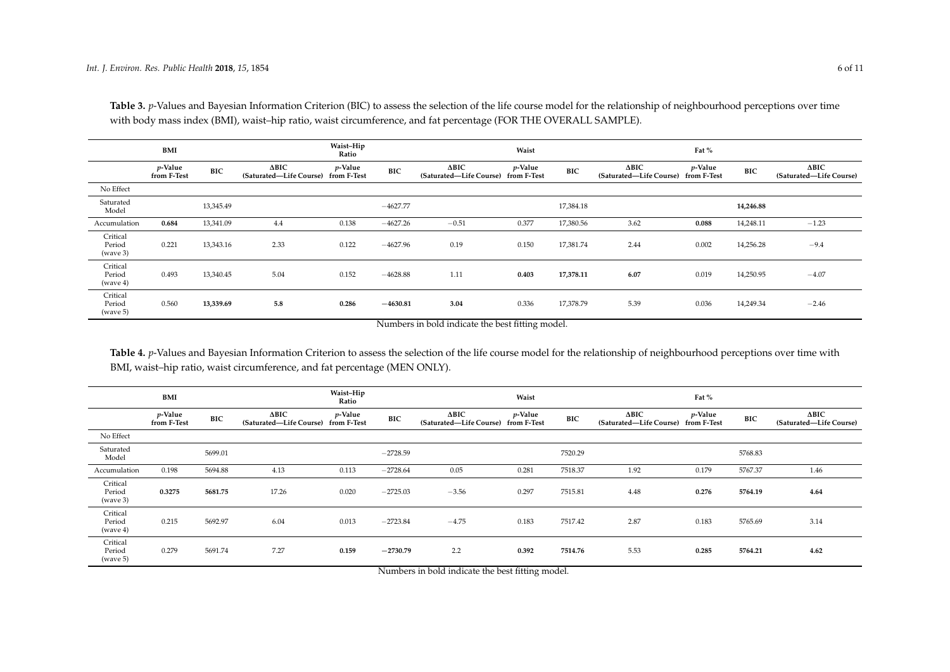|                                | <b>BMI</b>                |            |                                                     | Waist-Hip<br>Ratio |            |                                                     | Waist   |            |                                                     | Fat %      |            |                                         |
|--------------------------------|---------------------------|------------|-----------------------------------------------------|--------------------|------------|-----------------------------------------------------|---------|------------|-----------------------------------------------------|------------|------------|-----------------------------------------|
|                                | $p$ -Value<br>from F-Test | <b>BIC</b> | $\Delta BIC$<br>(Saturated-Life Course) from F-Test | p-Value            | <b>BIC</b> | $\Delta BIC$<br>(Saturated-Life Course) from F-Test | p-Value | <b>BIC</b> | $\Delta BIC$<br>(Saturated-Life Course) from F-Test | $p$ -Value | <b>BIC</b> | $\Delta BIC$<br>(Saturated-Life Course) |
| No Effect                      |                           |            |                                                     |                    |            |                                                     |         |            |                                                     |            |            |                                         |
| Saturated<br>Model             |                           | 13,345.49  |                                                     |                    | $-4627.77$ |                                                     |         | 17,384.18  |                                                     |            | 14,246.88  |                                         |
| Accumulation                   | 0.684                     | 13,341.09  | 4.4                                                 | 0.138              | $-4627.26$ | $-0.51$                                             | 0.377   | 17,380.56  | 3.62                                                | 0.088      | 14,248.11  | $-1.23$                                 |
| Critical<br>Period<br>(wave 3) | 0.221                     | 13,343.16  | 2.33                                                | 0.122              | $-4627.96$ | 0.19                                                | 0.150   | 17,381.74  | 2.44                                                | 0.002      | 14,256.28  | $-9.4$                                  |
| Critical<br>Period<br>(wave 4) | 0.493                     | 13,340.45  | 5.04                                                | 0.152              | $-4628.88$ | 1.11                                                | 0.403   | 17,378.11  | 6.07                                                | 0.019      | 14,250.95  | $-4.07$                                 |
| Critical<br>Period<br>(wave 5) | 0.560                     | 13,339.69  | 5.8                                                 | 0.286              | $-4630.81$ | 3.04                                                | 0.336   | 17,378.79  | 5.39                                                | 0.036      | 14,249.34  | $-2.46$                                 |

Table 3. *p*-Values and Bayesian Information Criterion (BIC) to assess the selection of the life course model for the relationship of neighbourhood perceptions over time with body mass index (BMI), waist–hip ratio, waist circumference, and fat percentage (FOR THE OVERALL SAMPLE).

Numbers in bold indicate the best fitting model.

Table 4. *p*-Values and Bayesian Information Criterion to assess the selection of the life course model for the relationship of neighbourhood perceptions over time with BMI, waist–hip ratio, waist circumference, and fat percentage (MEN ONLY).

<span id="page-5-1"></span><span id="page-5-0"></span>

|                                | BMI                            |            |                                                     | Waist-Hip<br>Ratio |            |                                                     | Waist           |            |                                                            | Fat %           |         |                                         |
|--------------------------------|--------------------------------|------------|-----------------------------------------------------|--------------------|------------|-----------------------------------------------------|-----------------|------------|------------------------------------------------------------|-----------------|---------|-----------------------------------------|
|                                | <i>p</i> -Value<br>from F-Test | <b>BIC</b> | $\Delta BIC$<br>(Saturated-Life Course) from F-Test | <i>p</i> -Value    | <b>BIC</b> | $\Delta BIC$<br>(Saturated-Life Course) from F-Test | <i>p</i> -Value | <b>BIC</b> | $\Delta \text{BIC}$<br>(Saturated-Life Course) from F-Test | <i>p</i> -Value | BIC     | $\Delta BIC$<br>(Saturated-Life Course) |
| No Effect                      |                                |            |                                                     |                    |            |                                                     |                 |            |                                                            |                 |         |                                         |
| Saturated<br>Model             |                                | 5699.01    |                                                     |                    | $-2728.59$ |                                                     |                 | 7520.29    |                                                            |                 | 5768.83 |                                         |
| Accumulation                   | 0.198                          | 5694.88    | 4.13                                                | 0.113              | $-2728.64$ | 0.05                                                | 0.281           | 7518.37    | 1.92                                                       | 0.179           | 5767.37 | 1.46                                    |
| Critical<br>Period<br>(wave 3) | 0.3275                         | 5681.75    | 17.26                                               | 0.020              | $-2725.03$ | $-3.56$                                             | 0.297           | 7515.81    | 4.48                                                       | 0.276           | 5764.19 | 4.64                                    |
| Critical<br>Period<br>(wave 4) | 0.215                          | 5692.97    | 6.04                                                | 0.013              | $-2723.84$ | $-4.75$                                             | 0.183           | 7517.42    | 2.87                                                       | 0.183           | 5765.69 | 3.14                                    |
| Critical<br>Period<br>(wave 5) | 0.279                          | 5691.74    | 7.27                                                | 0.159              | $-2730.79$ | 2.2                                                 | 0.392           | 7514.76    | 5.53                                                       | 0.285           | 5764.21 | 4.62                                    |

Numbers in bold indicate the best fitting model.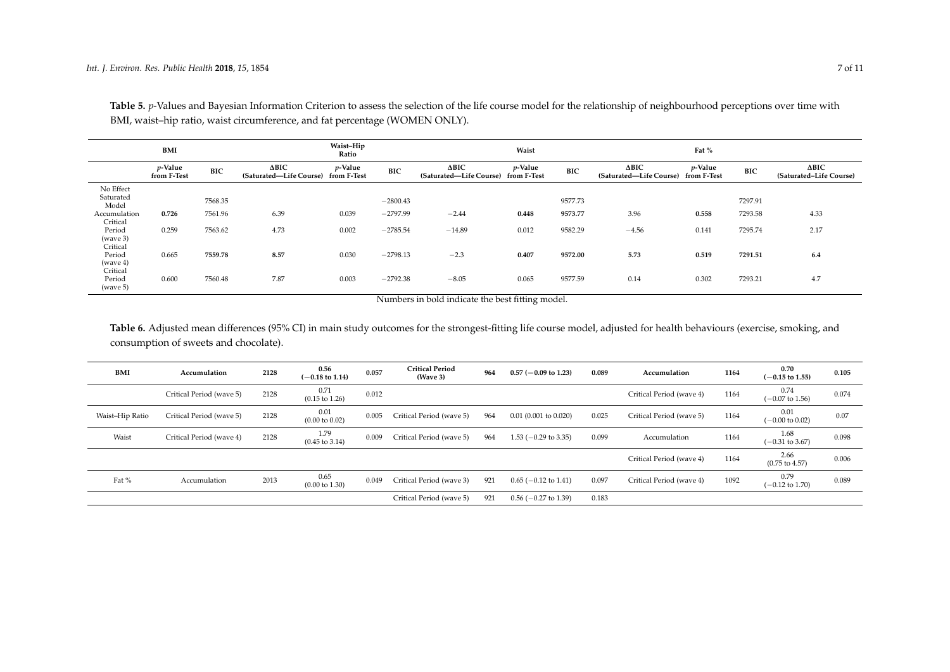|                                | BMI                       |            |                                         | Waist-Hip<br>Ratio        |            |                                         | Waist                     |            |                                                     | Fat %      |            |                                         |
|--------------------------------|---------------------------|------------|-----------------------------------------|---------------------------|------------|-----------------------------------------|---------------------------|------------|-----------------------------------------------------|------------|------------|-----------------------------------------|
|                                | $p$ -Value<br>from F-Test | <b>BIC</b> | $\Delta BIC$<br>(Saturated—Life Course) | $p$ -Value<br>from F-Test | BIC        | $\Delta BIC$<br>(Saturated—Life Course) | $p$ -Value<br>from F-Test | <b>BIC</b> | $\Delta BIC$<br>(Saturated-Life Course) from F-Test | $p$ -Value | <b>BIC</b> | $\Delta BIC$<br>(Saturated-Life Course) |
| No Effect                      |                           |            |                                         |                           |            |                                         |                           |            |                                                     |            |            |                                         |
| Saturated<br>Model             |                           | 7568.35    |                                         |                           | $-2800.43$ |                                         |                           | 9577.73    |                                                     |            | 7297.91    |                                         |
| Accumulation                   | 0.726                     | 7561.96    | 6.39                                    | 0.039                     | $-2797.99$ | $-2.44$                                 | 0.448                     | 9573.77    | 3.96                                                | 0.558      | 7293.58    | 4.33                                    |
| Critical                       |                           |            |                                         |                           |            |                                         |                           |            |                                                     |            |            |                                         |
| Period                         | 0.259                     | 7563.62    | 4.73                                    | 0.002                     | $-2785.54$ | $-14.89$                                | 0.012                     | 9582.29    | $-4.56$                                             | 0.141      | 7295.74    | 2.17                                    |
| (wave 3)<br>Critical           |                           |            |                                         |                           |            |                                         |                           |            |                                                     |            |            |                                         |
| Period                         | 0.665                     | 7559.78    | 8.57                                    | 0.030                     | $-2798.13$ | $-2.3$                                  | 0.407                     | 9572.00    | 5.73                                                | 0.519      | 7291.51    | 6.4                                     |
| (wave 4)                       |                           |            |                                         |                           |            |                                         |                           |            |                                                     |            |            |                                         |
| Critical<br>Period<br>(wave 5) | 0.600                     | 7560.48    | 7.87                                    | 0.003                     | $-2792.38$ | $-8.05$                                 | 0.065                     | 9577.59    | 0.14                                                | 0.302      | 7293.21    | 4.7                                     |

Table 5. *p*-Values and Bayesian Information Criterion to assess the selection of the life course model for the relationship of neighbourhood perceptions over time with BMI, waist–hip ratio, waist circumference, and fat percentage (WOMEN ONLY).

Numbers in bold indicate the best fitting model.

**Table 6.** Adjusted mean differences (95% CI) in main study outcomes for the strongest-fitting life course model, adjusted for health behaviours (exercise, smoking, and consumption of sweets and chocolate).

<span id="page-6-1"></span><span id="page-6-0"></span>

| BMI             | Accumulation             | 2128 | 0.56<br>$(-0.18 \text{ to } 1.14)$ | 0.057 | <b>Critical Period</b><br>(Wave 3) | 964 | $0.57$ (-0.09 to 1.23)    | 0.089 | Accumulation             | 1164 | 0.70<br>$-0.15$ to 1.55)           | 0.105 |
|-----------------|--------------------------|------|------------------------------------|-------|------------------------------------|-----|---------------------------|-------|--------------------------|------|------------------------------------|-------|
|                 | Critical Period (wave 5) | 2128 | 0.71<br>$(0.15 \text{ to } 1.26)$  | 0.012 |                                    |     |                           |       | Critical Period (wave 4) | 1164 | 0.74<br>$-0.07$ to 1.56)           | 0.074 |
| Waist-Hip Ratio | Critical Period (wave 5) | 2128 | 0.01<br>$(0.00 \text{ to } 0.02)$  | 0.005 | Critical Period (wave 5)           | 964 | 0.01(0.001 to 0.020)      | 0.025 | Critical Period (wave 5) | 1164 | 0.01<br>$(-0.00 \text{ to } 0.02)$ | 0.07  |
| Waist           | Critical Period (wave 4) | 2128 | 1.79<br>$(0.45 \text{ to } 3.14)$  | 0.009 | Critical Period (wave 5)           | 964 | $1.53$ (-0.29 to 3.35)    | 0.099 | Accumulation             | 1164 | 1.68<br>$-0.31$ to 3.67)           | 0.098 |
|                 |                          |      |                                    |       |                                    |     |                           |       | Critical Period (wave 4) | 1164 | 2.66<br>$(0.75 \text{ to } 4.57)$  | 0.006 |
| Fat %           | Accumulation             | 2013 | 0.65<br>$(0.00 \text{ to } 1.30)$  | 0.049 | Critical Period (wave 3)           | 921 | $0.65$ (-0.12 to 1.41)    | 0.097 | Critical Period (wave 4) | 1092 | 0.79<br>$-0.12$ to 1.70)           | 0.089 |
|                 |                          |      |                                    |       | Critical Period (wave 5)           | 921 | $0.56$ ( $-0.27$ to 1.39) | 0.183 |                          |      |                                    |       |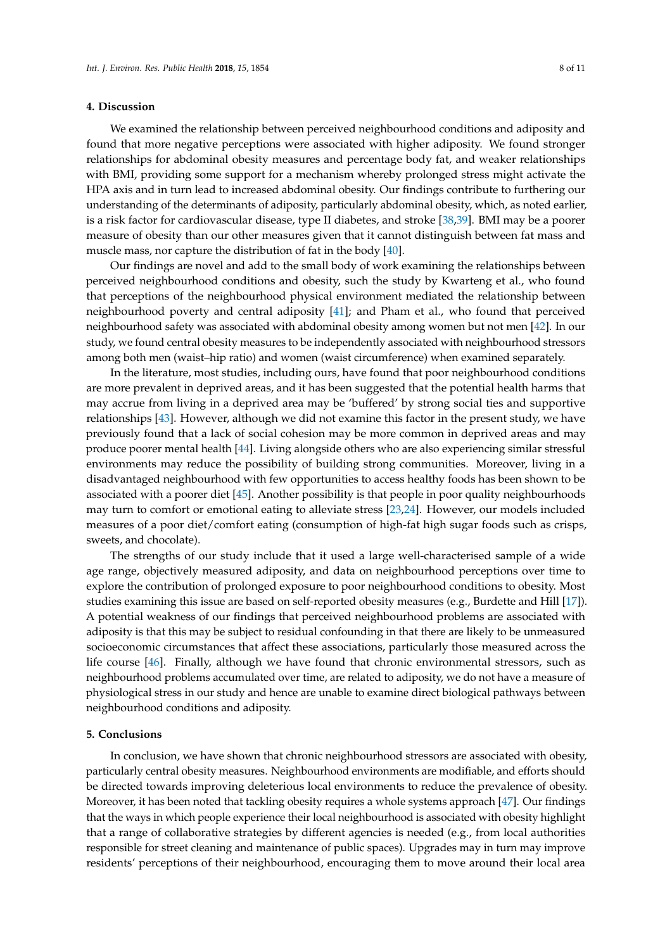#### **4. Discussion**

We examined the relationship between perceived neighbourhood conditions and adiposity and found that more negative perceptions were associated with higher adiposity. We found stronger relationships for abdominal obesity measures and percentage body fat, and weaker relationships with BMI, providing some support for a mechanism whereby prolonged stress might activate the HPA axis and in turn lead to increased abdominal obesity. Our findings contribute to furthering our understanding of the determinants of adiposity, particularly abdominal obesity, which, as noted earlier, is a risk factor for cardiovascular disease, type II diabetes, and stroke [\[38,](#page-10-2)[39\]](#page-10-3). BMI may be a poorer measure of obesity than our other measures given that it cannot distinguish between fat mass and muscle mass, nor capture the distribution of fat in the body [\[40\]](#page-10-4).

Our findings are novel and add to the small body of work examining the relationships between perceived neighbourhood conditions and obesity, such the study by Kwarteng et al., who found that perceptions of the neighbourhood physical environment mediated the relationship between neighbourhood poverty and central adiposity [\[41\]](#page-10-5); and Pham et al., who found that perceived neighbourhood safety was associated with abdominal obesity among women but not men [\[42\]](#page-10-6). In our study, we found central obesity measures to be independently associated with neighbourhood stressors among both men (waist–hip ratio) and women (waist circumference) when examined separately.

In the literature, most studies, including ours, have found that poor neighbourhood conditions are more prevalent in deprived areas, and it has been suggested that the potential health harms that may accrue from living in a deprived area may be 'buffered' by strong social ties and supportive relationships [\[43\]](#page-10-7). However, although we did not examine this factor in the present study, we have previously found that a lack of social cohesion may be more common in deprived areas and may produce poorer mental health [\[44\]](#page-10-8). Living alongside others who are also experiencing similar stressful environments may reduce the possibility of building strong communities. Moreover, living in a disadvantaged neighbourhood with few opportunities to access healthy foods has been shown to be associated with a poorer diet [\[45\]](#page-10-9). Another possibility is that people in poor quality neighbourhoods may turn to comfort or emotional eating to alleviate stress [\[23,](#page-9-9)[24\]](#page-9-10). However, our models included measures of a poor diet/comfort eating (consumption of high-fat high sugar foods such as crisps, sweets, and chocolate).

The strengths of our study include that it used a large well-characterised sample of a wide age range, objectively measured adiposity, and data on neighbourhood perceptions over time to explore the contribution of prolonged exposure to poor neighbourhood conditions to obesity. Most studies examining this issue are based on self-reported obesity measures (e.g., Burdette and Hill [\[17\]](#page-9-3)). A potential weakness of our findings that perceived neighbourhood problems are associated with adiposity is that this may be subject to residual confounding in that there are likely to be unmeasured socioeconomic circumstances that affect these associations, particularly those measured across the life course [\[46\]](#page-10-10). Finally, although we have found that chronic environmental stressors, such as neighbourhood problems accumulated over time, are related to adiposity, we do not have a measure of physiological stress in our study and hence are unable to examine direct biological pathways between neighbourhood conditions and adiposity.

## **5. Conclusions**

In conclusion, we have shown that chronic neighbourhood stressors are associated with obesity, particularly central obesity measures. Neighbourhood environments are modifiable, and efforts should be directed towards improving deleterious local environments to reduce the prevalence of obesity. Moreover, it has been noted that tackling obesity requires a whole systems approach [\[47\]](#page-10-11). Our findings that the ways in which people experience their local neighbourhood is associated with obesity highlight that a range of collaborative strategies by different agencies is needed (e.g., from local authorities responsible for street cleaning and maintenance of public spaces). Upgrades may in turn may improve residents' perceptions of their neighbourhood, encouraging them to move around their local area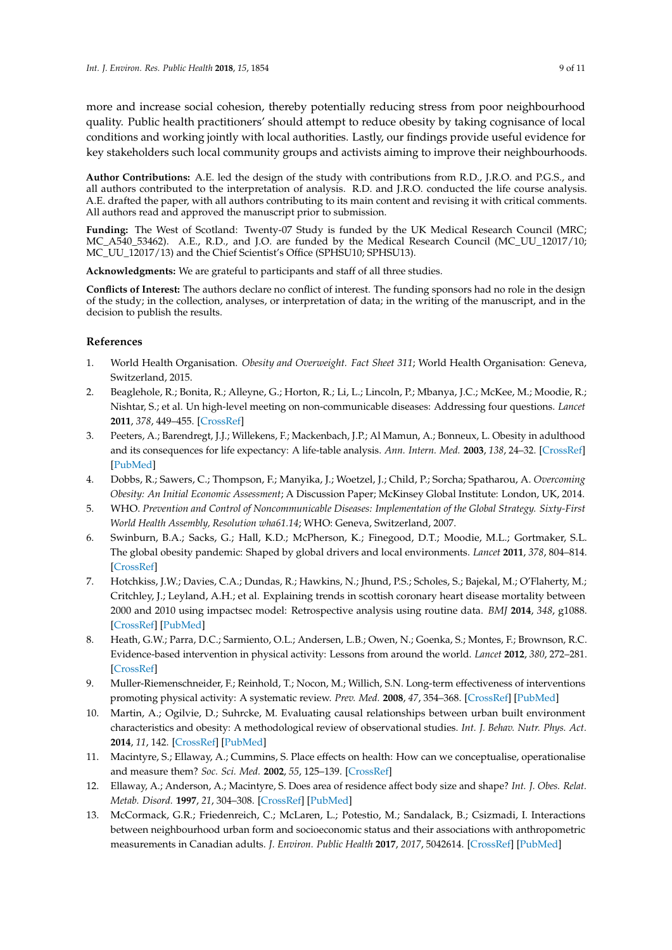more and increase social cohesion, thereby potentially reducing stress from poor neighbourhood quality. Public health practitioners' should attempt to reduce obesity by taking cognisance of local conditions and working jointly with local authorities. Lastly, our findings provide useful evidence for key stakeholders such local community groups and activists aiming to improve their neighbourhoods.

**Author Contributions:** A.E. led the design of the study with contributions from R.D., J.R.O. and P.G.S., and all authors contributed to the interpretation of analysis. R.D. and J.R.O. conducted the life course analysis. A.E. drafted the paper, with all authors contributing to its main content and revising it with critical comments. All authors read and approved the manuscript prior to submission.

**Funding:** The West of Scotland: Twenty-07 Study is funded by the UK Medical Research Council (MRC; MC\_A540\_53462). A.E., R.D., and J.O. are funded by the Medical Research Council (MC\_UU\_12017/10; MC\_UU\_12017/13) and the Chief Scientist's Office (SPHSU10; SPHSU13).

**Acknowledgments:** We are grateful to participants and staff of all three studies.

**Conflicts of Interest:** The authors declare no conflict of interest. The funding sponsors had no role in the design of the study; in the collection, analyses, or interpretation of data; in the writing of the manuscript, and in the decision to publish the results.

## **References**

- <span id="page-8-0"></span>1. World Health Organisation. *Obesity and Overweight. Fact Sheet 311*; World Health Organisation: Geneva, Switzerland, 2015.
- <span id="page-8-1"></span>2. Beaglehole, R.; Bonita, R.; Alleyne, G.; Horton, R.; Li, L.; Lincoln, P.; Mbanya, J.C.; McKee, M.; Moodie, R.; Nishtar, S.; et al. Un high-level meeting on non-communicable diseases: Addressing four questions. *Lancet* **2011**, *378*, 449–455. [\[CrossRef\]](http://dx.doi.org/10.1016/S0140-6736(11)60879-9)
- <span id="page-8-2"></span>3. Peeters, A.; Barendregt, J.J.; Willekens, F.; Mackenbach, J.P.; Al Mamun, A.; Bonneux, L. Obesity in adulthood and its consequences for life expectancy: A life-table analysis. *Ann. Intern. Med.* **2003**, *138*, 24–32. [\[CrossRef\]](http://dx.doi.org/10.7326/0003-4819-138-1-200301070-00008) [\[PubMed\]](http://www.ncbi.nlm.nih.gov/pubmed/12513041)
- <span id="page-8-3"></span>4. Dobbs, R.; Sawers, C.; Thompson, F.; Manyika, J.; Woetzel, J.; Child, P.; Sorcha; Spatharou, A. *Overcoming Obesity: An Initial Economic Assessment*; A Discussion Paper; McKinsey Global Institute: London, UK, 2014.
- <span id="page-8-4"></span>5. WHO. *Prevention and Control of Noncommunicable Diseases: Implementation of the Global Strategy. Sixty-First World Health Assembly, Resolution wha61.14*; WHO: Geneva, Switzerland, 2007.
- <span id="page-8-5"></span>6. Swinburn, B.A.; Sacks, G.; Hall, K.D.; McPherson, K.; Finegood, D.T.; Moodie, M.L.; Gortmaker, S.L. The global obesity pandemic: Shaped by global drivers and local environments. *Lancet* **2011**, *378*, 804–814. [\[CrossRef\]](http://dx.doi.org/10.1016/S0140-6736(11)60813-1)
- <span id="page-8-6"></span>7. Hotchkiss, J.W.; Davies, C.A.; Dundas, R.; Hawkins, N.; Jhund, P.S.; Scholes, S.; Bajekal, M.; O'Flaherty, M.; Critchley, J.; Leyland, A.H.; et al. Explaining trends in scottish coronary heart disease mortality between 2000 and 2010 using impactsec model: Retrospective analysis using routine data. *BMJ* **2014**, *348*, g1088. [\[CrossRef\]](http://dx.doi.org/10.1136/bmj.g1088) [\[PubMed\]](http://www.ncbi.nlm.nih.gov/pubmed/24503058)
- <span id="page-8-7"></span>8. Heath, G.W.; Parra, D.C.; Sarmiento, O.L.; Andersen, L.B.; Owen, N.; Goenka, S.; Montes, F.; Brownson, R.C. Evidence-based intervention in physical activity: Lessons from around the world. *Lancet* **2012**, *380*, 272–281. [\[CrossRef\]](http://dx.doi.org/10.1016/S0140-6736(12)60816-2)
- <span id="page-8-8"></span>9. Muller-Riemenschneider, F.; Reinhold, T.; Nocon, M.; Willich, S.N. Long-term effectiveness of interventions promoting physical activity: A systematic review. *Prev. Med.* **2008**, *47*, 354–368. [\[CrossRef\]](http://dx.doi.org/10.1016/j.ypmed.2008.07.006) [\[PubMed\]](http://www.ncbi.nlm.nih.gov/pubmed/18675845)
- <span id="page-8-9"></span>10. Martin, A.; Ogilvie, D.; Suhrcke, M. Evaluating causal relationships between urban built environment characteristics and obesity: A methodological review of observational studies. *Int. J. Behav. Nutr. Phys. Act.* **2014**, *11*, 142. [\[CrossRef\]](http://dx.doi.org/10.1186/s12966-014-0142-8) [\[PubMed\]](http://www.ncbi.nlm.nih.gov/pubmed/25406733)
- <span id="page-8-10"></span>11. Macintyre, S.; Ellaway, A.; Cummins, S. Place effects on health: How can we conceptualise, operationalise and measure them? *Soc. Sci. Med.* **2002**, *55*, 125–139. [\[CrossRef\]](http://dx.doi.org/10.1016/S0277-9536(01)00214-3)
- <span id="page-8-11"></span>12. Ellaway, A.; Anderson, A.; Macintyre, S. Does area of residence affect body size and shape? *Int. J. Obes. Relat. Metab. Disord.* **1997**, *21*, 304–308. [\[CrossRef\]](http://dx.doi.org/10.1038/sj.ijo.0800405) [\[PubMed\]](http://www.ncbi.nlm.nih.gov/pubmed/9130028)
- <span id="page-8-12"></span>13. McCormack, G.R.; Friedenreich, C.; McLaren, L.; Potestio, M.; Sandalack, B.; Csizmadi, I. Interactions between neighbourhood urban form and socioeconomic status and their associations with anthropometric measurements in Canadian adults. *J. Environ. Public Health* **2017**, *2017*, 5042614. [\[CrossRef\]](http://dx.doi.org/10.1155/2017/5042614) [\[PubMed\]](http://www.ncbi.nlm.nih.gov/pubmed/29056976)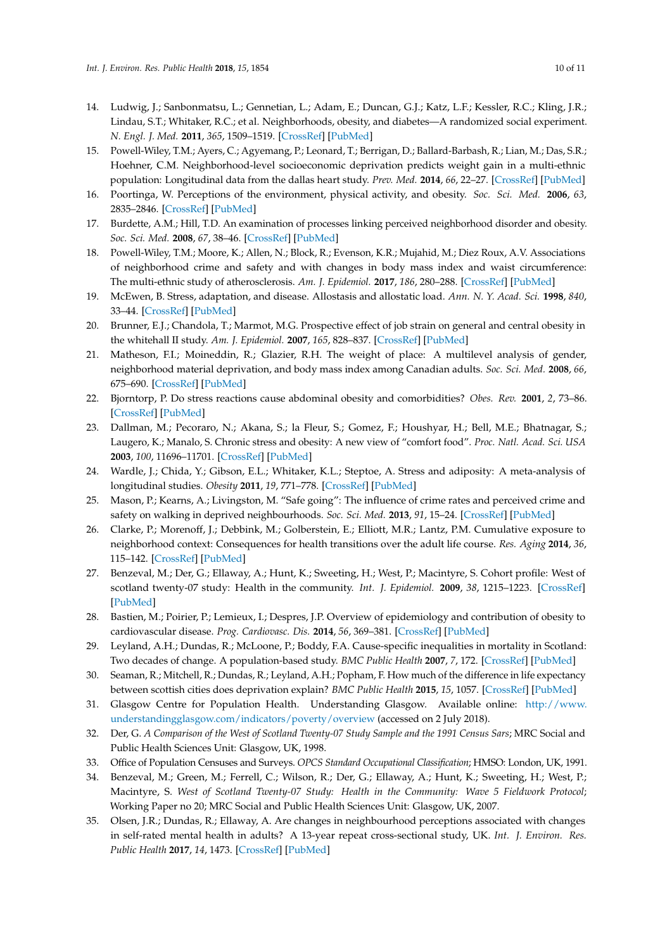- <span id="page-9-0"></span>14. Ludwig, J.; Sanbonmatsu, L.; Gennetian, L.; Adam, E.; Duncan, G.J.; Katz, L.F.; Kessler, R.C.; Kling, J.R.; Lindau, S.T.; Whitaker, R.C.; et al. Neighborhoods, obesity, and diabetes—A randomized social experiment. *N. Engl. J. Med.* **2011**, *365*, 1509–1519. [\[CrossRef\]](http://dx.doi.org/10.1056/NEJMsa1103216) [\[PubMed\]](http://www.ncbi.nlm.nih.gov/pubmed/22010917)
- <span id="page-9-1"></span>15. Powell-Wiley, T.M.; Ayers, C.; Agyemang, P.; Leonard, T.; Berrigan, D.; Ballard-Barbash, R.; Lian, M.; Das, S.R.; Hoehner, C.M. Neighborhood-level socioeconomic deprivation predicts weight gain in a multi-ethnic population: Longitudinal data from the dallas heart study. *Prev. Med.* **2014**, *66*, 22–27. [\[CrossRef\]](http://dx.doi.org/10.1016/j.ypmed.2014.05.011) [\[PubMed\]](http://www.ncbi.nlm.nih.gov/pubmed/24875231)
- <span id="page-9-2"></span>16. Poortinga, W. Perceptions of the environment, physical activity, and obesity. *Soc. Sci. Med.* **2006**, *63*, 2835–2846. [\[CrossRef\]](http://dx.doi.org/10.1016/j.socscimed.2006.07.018) [\[PubMed\]](http://www.ncbi.nlm.nih.gov/pubmed/16952415)
- <span id="page-9-3"></span>17. Burdette, A.M.; Hill, T.D. An examination of processes linking perceived neighborhood disorder and obesity. *Soc. Sci. Med.* **2008**, *67*, 38–46. [\[CrossRef\]](http://dx.doi.org/10.1016/j.socscimed.2008.03.029) [\[PubMed\]](http://www.ncbi.nlm.nih.gov/pubmed/18433964)
- <span id="page-9-4"></span>18. Powell-Wiley, T.M.; Moore, K.; Allen, N.; Block, R.; Evenson, K.R.; Mujahid, M.; Diez Roux, A.V. Associations of neighborhood crime and safety and with changes in body mass index and waist circumference: The multi-ethnic study of atherosclerosis. *Am. J. Epidemiol.* **2017**, *186*, 280–288. [\[CrossRef\]](http://dx.doi.org/10.1093/aje/kwx082) [\[PubMed\]](http://www.ncbi.nlm.nih.gov/pubmed/28472256)
- <span id="page-9-5"></span>19. McEwen, B. Stress, adaptation, and disease. Allostasis and allostatic load. *Ann. N. Y. Acad. Sci.* **1998**, *840*, 33–44. [\[CrossRef\]](http://dx.doi.org/10.1111/j.1749-6632.1998.tb09546.x) [\[PubMed\]](http://www.ncbi.nlm.nih.gov/pubmed/9629234)
- <span id="page-9-6"></span>20. Brunner, E.J.; Chandola, T.; Marmot, M.G. Prospective effect of job strain on general and central obesity in the whitehall II study. *Am. J. Epidemiol.* **2007**, *165*, 828–837. [\[CrossRef\]](http://dx.doi.org/10.1093/aje/kwk058) [\[PubMed\]](http://www.ncbi.nlm.nih.gov/pubmed/17244635)
- <span id="page-9-7"></span>21. Matheson, F.I.; Moineddin, R.; Glazier, R.H. The weight of place: A multilevel analysis of gender, neighborhood material deprivation, and body mass index among Canadian adults. *Soc. Sci. Med.* **2008**, *66*, 675–690. [\[CrossRef\]](http://dx.doi.org/10.1016/j.socscimed.2007.10.008) [\[PubMed\]](http://www.ncbi.nlm.nih.gov/pubmed/18036712)
- <span id="page-9-8"></span>22. Bjorntorp, P. Do stress reactions cause abdominal obesity and comorbidities? *Obes. Rev.* **2001**, *2*, 73–86. [\[CrossRef\]](http://dx.doi.org/10.1046/j.1467-789x.2001.00027.x) [\[PubMed\]](http://www.ncbi.nlm.nih.gov/pubmed/12119665)
- <span id="page-9-9"></span>23. Dallman, M.; Pecoraro, N.; Akana, S.; la Fleur, S.; Gomez, F.; Houshyar, H.; Bell, M.E.; Bhatnagar, S.; Laugero, K.; Manalo, S. Chronic stress and obesity: A new view of "comfort food". *Proc. Natl. Acad. Sci. USA* **2003**, *100*, 11696–11701. [\[CrossRef\]](http://dx.doi.org/10.1073/pnas.1934666100) [\[PubMed\]](http://www.ncbi.nlm.nih.gov/pubmed/12975524)
- <span id="page-9-10"></span>24. Wardle, J.; Chida, Y.; Gibson, E.L.; Whitaker, K.L.; Steptoe, A. Stress and adiposity: A meta-analysis of longitudinal studies. *Obesity* **2011**, *19*, 771–778. [\[CrossRef\]](http://dx.doi.org/10.1038/oby.2010.241) [\[PubMed\]](http://www.ncbi.nlm.nih.gov/pubmed/20948519)
- <span id="page-9-11"></span>25. Mason, P.; Kearns, A.; Livingston, M. "Safe going": The influence of crime rates and perceived crime and safety on walking in deprived neighbourhoods. *Soc. Sci. Med.* **2013**, *91*, 15–24. [\[CrossRef\]](http://dx.doi.org/10.1016/j.socscimed.2013.04.011) [\[PubMed\]](http://www.ncbi.nlm.nih.gov/pubmed/23849234)
- <span id="page-9-12"></span>26. Clarke, P.; Morenoff, J.; Debbink, M.; Golberstein, E.; Elliott, M.R.; Lantz, P.M. Cumulative exposure to neighborhood context: Consequences for health transitions over the adult life course. *Res. Aging* **2014**, *36*, 115–142. [\[CrossRef\]](http://dx.doi.org/10.1177/0164027512470702) [\[PubMed\]](http://www.ncbi.nlm.nih.gov/pubmed/24465068)
- <span id="page-9-13"></span>27. Benzeval, M.; Der, G.; Ellaway, A.; Hunt, K.; Sweeting, H.; West, P.; Macintyre, S. Cohort profile: West of scotland twenty-07 study: Health in the community. *Int. J. Epidemiol.* **2009**, *38*, 1215–1223. [\[CrossRef\]](http://dx.doi.org/10.1093/ije/dyn213) [\[PubMed\]](http://www.ncbi.nlm.nih.gov/pubmed/18930962)
- <span id="page-9-14"></span>28. Bastien, M.; Poirier, P.; Lemieux, I.; Despres, J.P. Overview of epidemiology and contribution of obesity to cardiovascular disease. *Prog. Cardiovasc. Dis.* **2014**, *56*, 369–381. [\[CrossRef\]](http://dx.doi.org/10.1016/j.pcad.2013.10.016) [\[PubMed\]](http://www.ncbi.nlm.nih.gov/pubmed/24438728)
- <span id="page-9-15"></span>29. Leyland, A.H.; Dundas, R.; McLoone, P.; Boddy, F.A. Cause-specific inequalities in mortality in Scotland: Two decades of change. A population-based study. *BMC Public Health* **2007**, *7*, 172. [\[CrossRef\]](http://dx.doi.org/10.1186/1471-2458-7-172) [\[PubMed\]](http://www.ncbi.nlm.nih.gov/pubmed/17650304)
- <span id="page-9-16"></span>30. Seaman, R.; Mitchell, R.; Dundas, R.; Leyland, A.H.; Popham, F. How much of the difference in life expectancy between scottish cities does deprivation explain? *BMC Public Health* **2015**, *15*, 1057. [\[CrossRef\]](http://dx.doi.org/10.1186/s12889-015-2358-1) [\[PubMed\]](http://www.ncbi.nlm.nih.gov/pubmed/26474578)
- <span id="page-9-17"></span>31. Glasgow Centre for Population Health. Understanding Glasgow. Available online: [http://www.](http://www.understandingglasgow.com/indicators/poverty/overview) [understandingglasgow.com/indicators/poverty/overview](http://www.understandingglasgow.com/indicators/poverty/overview) (accessed on 2 July 2018).
- <span id="page-9-18"></span>32. Der, G. *A Comparison of the West of Scotland Twenty-07 Study Sample and the 1991 Census Sars*; MRC Social and Public Health Sciences Unit: Glasgow, UK, 1998.
- <span id="page-9-19"></span>33. Office of Population Censuses and Surveys. *OPCS Standard Occupational Classification*; HMSO: London, UK, 1991.
- <span id="page-9-20"></span>34. Benzeval, M.; Green, M.; Ferrell, C.; Wilson, R.; Der, G.; Ellaway, A.; Hunt, K.; Sweeting, H.; West, P.; Macintyre, S. *West of Scotland Twenty-07 Study: Health in the Community: Wave 5 Fieldwork Protocol*; Working Paper no 20; MRC Social and Public Health Sciences Unit: Glasgow, UK, 2007.
- <span id="page-9-21"></span>35. Olsen, J.R.; Dundas, R.; Ellaway, A. Are changes in neighbourhood perceptions associated with changes in self-rated mental health in adults? A 13-year repeat cross-sectional study, UK. *Int. J. Environ. Res. Public Health* **2017**, *14*, 1473. [\[CrossRef\]](http://dx.doi.org/10.3390/ijerph14121473) [\[PubMed\]](http://www.ncbi.nlm.nih.gov/pubmed/29186035)